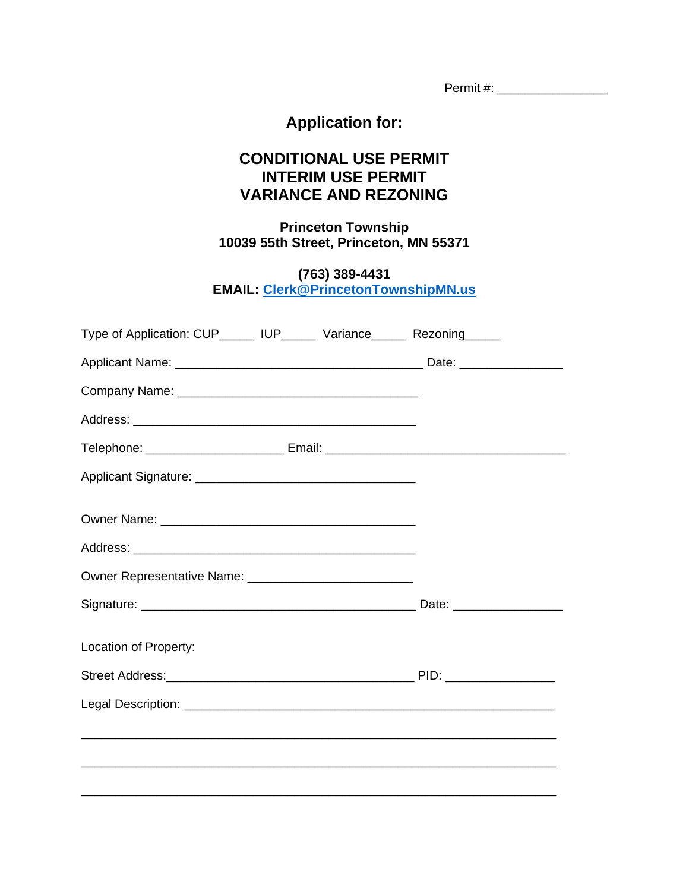## **Application for:**

## **CONDITIONAL USE PERMIT INTERIM USE PERMIT VARIANCE AND REZONING**

**Princeton Township 10039 55th Street, Princeton, MN 55371**

**(763) 389-4431**

**EMAIL: [Clerk@PrincetonTownshipMN.us](mailto:Clerk@PrincetonTownshipMN.us)**

| Type of Application: CUP______ IUP______ Variance______ Rezoning_____             |  |
|-----------------------------------------------------------------------------------|--|
|                                                                                   |  |
|                                                                                   |  |
|                                                                                   |  |
| Telephone: _____________________________Email: __________________________________ |  |
|                                                                                   |  |
|                                                                                   |  |
|                                                                                   |  |
|                                                                                   |  |
|                                                                                   |  |
| Location of Property:                                                             |  |
|                                                                                   |  |
|                                                                                   |  |
|                                                                                   |  |
|                                                                                   |  |